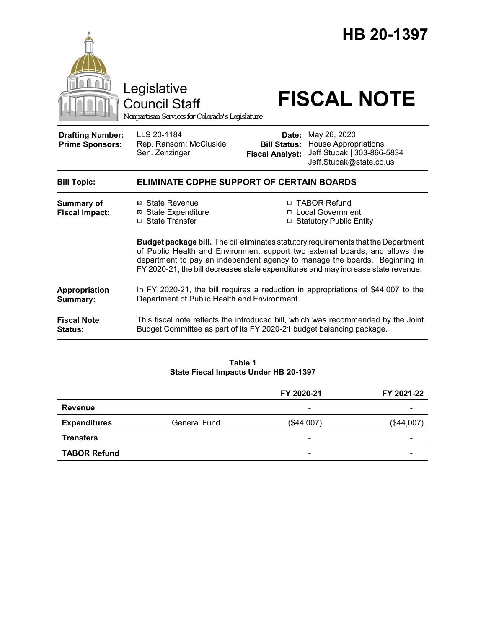

**Table 1 State Fiscal Impacts Under HB 20-1397**

|                     |              | FY 2020-21               | FY 2021-22 |
|---------------------|--------------|--------------------------|------------|
| <b>Revenue</b>      |              | $\overline{\phantom{0}}$ |            |
| <b>Expenditures</b> | General Fund | (\$44,007)               | (\$44,007) |
| <b>Transfers</b>    |              | -                        |            |
| <b>TABOR Refund</b> |              | $\overline{\phantom{0}}$ |            |